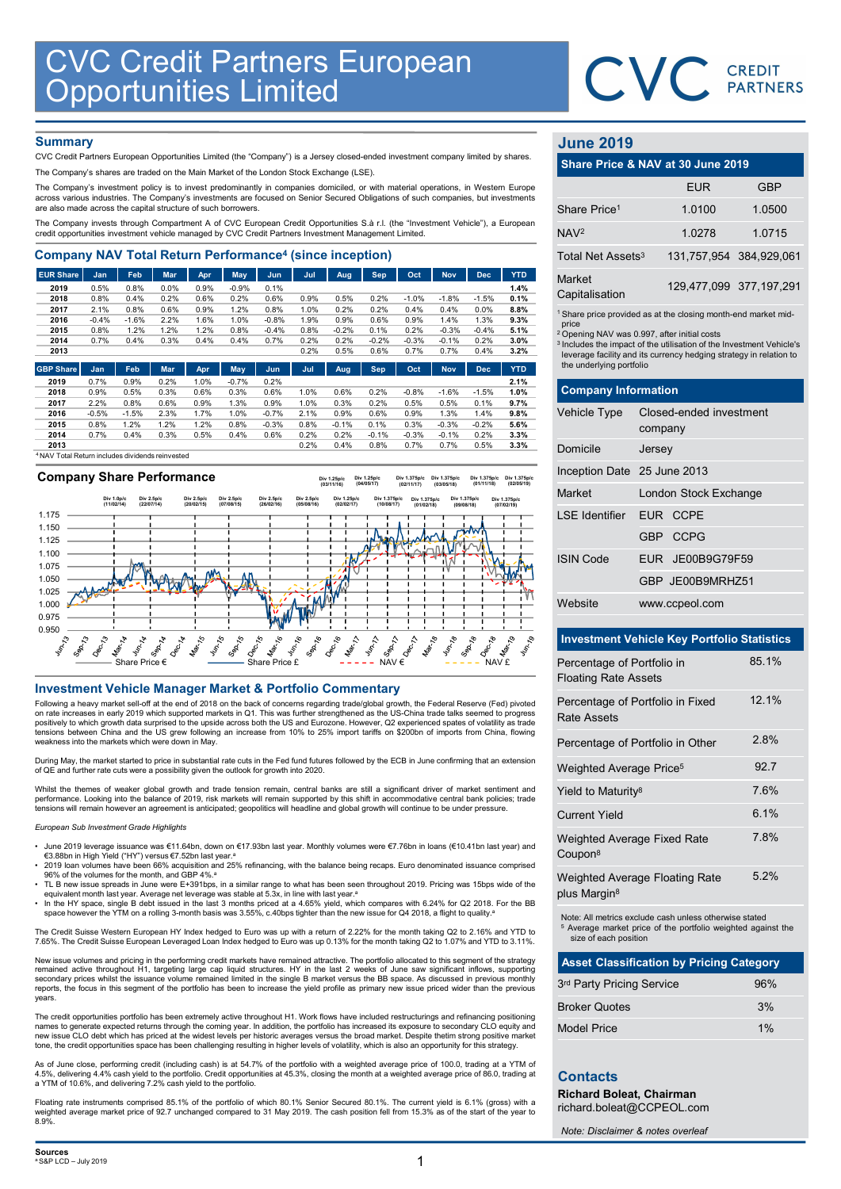

# **Summary**

| <b>CVC Credit Partners European<br/>Opportunities Limited</b>                                                                                                                                      |              |              |              |              |                 |              |              |              |                 |                 |                 |                 |              |                               | CVC CREDIT                                                                    |                        |
|----------------------------------------------------------------------------------------------------------------------------------------------------------------------------------------------------|--------------|--------------|--------------|--------------|-----------------|--------------|--------------|--------------|-----------------|-----------------|-----------------|-----------------|--------------|-------------------------------|-------------------------------------------------------------------------------|------------------------|
|                                                                                                                                                                                                    |              |              |              |              |                 |              |              |              |                 |                 |                 |                 |              |                               |                                                                               |                        |
|                                                                                                                                                                                                    |              |              |              |              |                 |              |              |              |                 |                 |                 |                 |              |                               |                                                                               |                        |
|                                                                                                                                                                                                    |              |              |              |              |                 |              |              |              |                 |                 |                 |                 |              |                               |                                                                               |                        |
| <b>Summary</b>                                                                                                                                                                                     |              |              |              |              |                 |              |              |              |                 |                 |                 |                 |              | <b>June 2019</b>              |                                                                               |                        |
| CVC Credit Partners European Opportunities Limited (the "Company") is a Jersey closed-ended investment company limited by shares.                                                                  |              |              |              |              |                 |              |              |              |                 |                 |                 |                 |              |                               |                                                                               |                        |
| The Company's shares are traded on the Main Market of the London Stock Exchange (LSE).                                                                                                             |              |              |              |              |                 |              |              |              |                 |                 |                 |                 |              |                               | Share Price & NAV at 30 June 2019                                             |                        |
| The Company's investment policy is to invest predominantly in companies domiciled, or with material operations, in Western Europe                                                                  |              |              |              |              |                 |              |              |              |                 |                 |                 |                 |              |                               | <b>EUR</b>                                                                    | <b>GBP</b>             |
| across various industries. The Company's investments are focused on Senior Secured Obligations of such companies, but investments<br>are also made across the capital structure of such borrowers. |              |              |              |              |                 |              |              |              |                 |                 |                 |                 |              | Share Price <sup>1</sup>      |                                                                               |                        |
| The Company invests through Compartment A of CVC European Credit Opportunities S.à r.l. (the "Investment Vehicle"), a European                                                                     |              |              |              |              |                 |              |              |              |                 |                 |                 |                 |              |                               | 1.0100                                                                        | 1.0500                 |
| credit opportunities investment vehicle managed by CVC Credit Partners Investment Management Limited.                                                                                              |              |              |              |              |                 |              |              |              |                 |                 |                 |                 |              | NAV <sup>2</sup>              | 1.0278                                                                        | 1.0715                 |
| <b>Company NAV Total Return Performance<sup>4</sup> (since inception)</b>                                                                                                                          |              |              |              |              |                 |              |              |              |                 |                 |                 |                 |              | Total Net Assets <sup>3</sup> | 131,757,954 384,929,06                                                        |                        |
| <b>EUR Share</b>                                                                                                                                                                                   | Jan          | Feb          | Mar          | Apr          | May             | Jun          | Jul          | Aug          | Sep             | Oct             | <b>Nov</b>      | <b>Dec</b>      | <b>YTD</b>   | Market                        |                                                                               |                        |
| 2019                                                                                                                                                                                               | 0.5%         | 0.8%         | 0.0%         | 0.9%         | $-0.9%$         | 0.1%         |              |              |                 |                 |                 |                 | 1.4%         | Capitalisation                |                                                                               | 129,477,099 377,197,29 |
| 2018<br>2017                                                                                                                                                                                       | 0.8%<br>2.1% | 0.4%<br>0.8% | 0.2%<br>0.6% | 0.6%<br>0.9% | 0.2%<br>1.2%    | 0.6%<br>0.8% | 0.9%<br>1.0% | 0.5%<br>0.2% | 0.2%<br>0.2%    | $-1.0%$<br>0.4% | $-1.8%$<br>0.4% | $-1.5%$<br>0.0% | 0.1%<br>8.8% |                               |                                                                               |                        |
| 2016                                                                                                                                                                                               | $-0.4%$      | $-1.6%$      | 2.2%         | 1.6%         | 1.0%            | $-0.8%$      | 1.9%         | 0.9%         | 0.6%            | 0.9%            | 1.4%            | 1.3%            | 9.3%         | price                         | <sup>1</sup> Share price provided as at the closing month-end market mid      |                        |
| 2015                                                                                                                                                                                               | 0.8%         | 1.2%         | 1.2%         | 1.2%         | 0.8%            | $-0.4%$      | 0.8%         | $-0.2%$      | 0.1%            | 0.2%            | $-0.3%$         | $-0.4%$         | 5.1%         |                               | <sup>2</sup> Opening NAV was 0.997, after initial costs                       |                        |
| 2014<br>2013                                                                                                                                                                                       | 0.7%         | 0.4%         | 0.3%         | 0.4%         | 0.4%            | 0.7%         | 0.2%<br>0.2% | 0.2%<br>0.5% | $-0.2%$<br>0.6% | $-0.3%$<br>0.7% | $-0.1%$<br>0.7% | 0.2%<br>0.4%    | 3.0%<br>3.2% |                               | <sup>3</sup> Includes the impact of the utilisation of the Investment Vehicle |                        |
|                                                                                                                                                                                                    |              |              |              |              |                 |              |              |              |                 |                 |                 |                 |              | the underlying portfolio      | leverage facility and its currency hedging strategy in relation t             |                        |
| <b>GBP Share</b>                                                                                                                                                                                   | <b>Jan</b>   | <b>Feb</b>   | <b>Mar</b>   | Apr          | May             | Jun.         | Jul          | Aug          | <b>Sep</b>      | Oct             | <b>Nov</b>      | <b>Dec</b>      | <b>YTD</b>   |                               |                                                                               |                        |
| 2019<br>2018                                                                                                                                                                                       | 0.7%<br>0.9% | 0.9%<br>0.5% | 0.2%<br>0.3% | 1.0%<br>0.6% | $-0.7%$<br>0.3% | 0.2%<br>0.6% | 1.0%         | 0.6%         | 0.2%            |                 | $-1.6%$         | $-1.5%$         | 2.1%<br>1.0% | <b>Company Information</b>    |                                                                               |                        |
| 2017                                                                                                                                                                                               | 2.2%         | 0.8%         | 0.6%         | 0.9%         | 1.3%            | 0.9%         | 1.0%         | 0.3%         | 0.2%            | $-0.8%$<br>0.5% | 0.5%            | 0.1%            | 9.7%         |                               |                                                                               |                        |
| 2016                                                                                                                                                                                               | $-0.5%$      | $-1.5%$      | 2.3%         | 1.7%         | 1.0%            | $-0.7%$      | 2.1%         | 0.9%         | 0.6%            | 0.9%            | 1.3%            | 1.4%            | 9.8%         | <b>Vehicle Type</b>           | Closed-ended investment                                                       |                        |
| 2015                                                                                                                                                                                               | 0.8%         | 1.2%         | 1.2%         | 1.2%         | 0.8%            | $-0.3%$      | 0.8%         | $-0.1%$      | 0.1%            | 0.3%            | $-0.3%$         | $-0.2%$         | 5.6%         |                               | company                                                                       |                        |
| 2014                                                                                                                                                                                               | 0.7%         | 0.4%         | 0.3%         | 0.5%         | 0.4%            | 0.6%         | 0.2%         | 0.2%         | $-0.1%$         | $-0.3%$         | $-0.1%$         | 0.2%            | 3.3%         |                               |                                                                               |                        |
| 2013                                                                                                                                                                                               |              |              |              |              |                 |              | 0.2%         | 0.4%         | 0.8%            | 0.7%            | 0.7%            | 0.5%            | 3.3%         | Domicile                      | Jersey.                                                                       |                        |

<sup>4</sup> NAV Total Return includes dividends reinvested



Following a heavy market sell-off at the end of 2018 on the back of concerns regarding trade/global growth, the Federal Reserve (Fed) pivoted on rate increases in early 2019 which supported markets in Q1. This was further strengthened as the US-China trade talks seemed to progress positively to which growth data surprised to the upside across both the US and Eurozone. However, Q2 experienced spates of volatility as trade<br>tensions between China and the US grew following an increase from 10% to 25% i

During May, the market started to price in substantial rate cuts in the Fed fund futures followed by the ECB in June confirming that an extension of QE and further rate cuts were a possibility given the outlook for growth into 2020.

Whilst the themes of weaker global growth and trade tension remain, central banks are still a significant driver of market sentiment and performance. Looking into the balance of 2019, risk markets will remain supported by this shift in accommodative central bank policies; trade<br>tensions will remain however an agreement is anticipated; geopolitics will headl

### European Sub Investment Grade Highlights

- June 2019 leverage issuance was €11.64bn, down on €17.93bn last year. Monthly volumes were €7.76bn in loans (€10.41bn last year) and €3.88bn in High Yield ("HY") versus €7.52bn last year.<sup>a</sup> • 2019 loan volumes have been 66% acquisition and 25% refinancing, with the balance being recaps. Euro denominated issuance comprised
- 96% of the volumes for the month, and GBP 4%.<sup>a</sup> • TL B new issue spreads in June were E+391bps, in a similar range to what has been seen throughout 2019. Pricing was 15bps wide of the
- equivalent month last year. Average net leverage was stable at 5.3x, in line with last year.ª<br>In the HY space, single B debt issued in the last 3 months priced at a 4.65% yield, which compares with 6.24% for Q2 2018. For
- space however the YTM on a rolling 3-month basis was 3.55%, c.40bps tighter than the new issue for Q4 2018, a flight to quality.<sup>6</sup>

The Credit Suisse Western European HY Index hedged to Euro was up with a return of 2.22% for the month taking Q2 to 2.16% and YTD to 7.65%. The Credit Suisse European Leveraged Loan Index hedged to Euro was up 0.13% for the month taking Q2 to 1.07% and YTD to 3.11%.

New issue volumes and pricing in the performing credit markets have remained attractive. The portfolio allocated to this segment of the strategy remained active throughout H1, targeting large cap liquid structures. HY in the last 2 weeks of June saw significant inflows, supporting<br>secondary prices whilst the issuance volume remained limited in the single B market v reports, the focus in this segment of the portfolio has been to increase the yield profile as primary new issue priced wider than the previous years.

The credit opportunities portfolio has been extremely active throughout H1. Work flows have included restructurings and refinancing positioning<br>names to generate expected returns through the coming year. In addition, the p new issue CLO debt which has priced at the widest levels per historic averages versus the broad market. Despite thetim strong positive market tone, the credit opportunities space has been challenging resulting in higher levels of volatility, which is also an opportunity for this strategy.

As of June close, performing credit (including cash) is at 54.7% of the portfolio with a weighted average price of 100.0, trading at a YTM of<br>4.5%, delivering 4.4% cash yield to the portfolio. Credit opportunities at 45.3% a YTM of 10.6%, and delivering 7.2% cash yield to the portfolio.

Floating rate instruments comprised 85.1% of the portfolio of which 80.1% Senior Secured 80.1%. The current yield is 6.1% (gross) with a weighted average market price of 92.7 unchanged compared to 31 May 2019. The cash position fell from 15.3% as of the start of the year to 8.9%.

# June 2019

|                               | CVC CREDIT                                                                                                                                                                                                       |                         |
|-------------------------------|------------------------------------------------------------------------------------------------------------------------------------------------------------------------------------------------------------------|-------------------------|
|                               |                                                                                                                                                                                                                  |                         |
| <b>June 2019</b>              |                                                                                                                                                                                                                  |                         |
|                               | Share Price & NAV at 30 June 2019                                                                                                                                                                                |                         |
|                               | <b>EUR</b>                                                                                                                                                                                                       | <b>GBP</b>              |
| Share Price <sup>1</sup>      | 1.0100                                                                                                                                                                                                           | 1.0500                  |
| NAV <sup>2</sup>              | 1.0278                                                                                                                                                                                                           | 1.0715                  |
| Total Net Assets <sup>3</sup> | 131,757,954                                                                                                                                                                                                      | 384,929,061             |
| Market<br>Capitalisation      |                                                                                                                                                                                                                  | 129,477,099 377,197,291 |
| price                         | <sup>1</sup> Share price provided as at the closing month-end market mid-                                                                                                                                        |                         |
| the underlying portfolio      | <sup>2</sup> Opening NAV was 0.997, after initial costs<br><sup>3</sup> Includes the impact of the utilisation of the Investment Vehicle's<br>leverage facility and its currency hedging strategy in relation to |                         |
| <b>Company Information</b>    |                                                                                                                                                                                                                  |                         |
| Vehicle Type                  | Closed-ended investment<br>company                                                                                                                                                                               |                         |
| Domicile                      | Jersey                                                                                                                                                                                                           |                         |
| Inception Date 25 June 2013   |                                                                                                                                                                                                                  |                         |
| Market                        | London Stock Exchange                                                                                                                                                                                            |                         |

|                                   |                                                                                                                                                                                                                                                                                               | <b>PARTNERS</b>         |
|-----------------------------------|-----------------------------------------------------------------------------------------------------------------------------------------------------------------------------------------------------------------------------------------------------------------------------------------------|-------------------------|
| <b>June 2019</b>                  |                                                                                                                                                                                                                                                                                               |                         |
|                                   | Share Price & NAV at 30 June 2019                                                                                                                                                                                                                                                             |                         |
|                                   | <b>EUR</b>                                                                                                                                                                                                                                                                                    | <b>GBP</b>              |
| Share Price <sup>1</sup>          | 1.0100                                                                                                                                                                                                                                                                                        | 1.0500                  |
| NAV <sup>2</sup>                  | 1.0278                                                                                                                                                                                                                                                                                        | 1.0715                  |
| Total Net Assets <sup>3</sup>     |                                                                                                                                                                                                                                                                                               | 131,757,954 384,929,061 |
| Market<br>Capitalisation          |                                                                                                                                                                                                                                                                                               | 129,477,099 377,197,291 |
| price<br>the underlying portfolio | <sup>1</sup> Share price provided as at the closing month-end market mid-<br><sup>2</sup> Opening NAV was 0.997, after initial costs<br><sup>3</sup> Includes the impact of the utilisation of the Investment Vehicle's<br>leverage facility and its currency hedging strategy in relation to |                         |
| <b>Company Information</b>        |                                                                                                                                                                                                                                                                                               |                         |
| Vehicle Type                      | Closed-ended investment<br>company                                                                                                                                                                                                                                                            |                         |
| Domicile                          | Jersey                                                                                                                                                                                                                                                                                        |                         |
| Inception Date 25 June 2013       |                                                                                                                                                                                                                                                                                               |                         |
| Market                            | London Stock Exchange                                                                                                                                                                                                                                                                         |                         |
| <b>LSE</b> Identifier             | EUR CCPE                                                                                                                                                                                                                                                                                      |                         |
|                                   | <b>CCPG</b><br>GBP -                                                                                                                                                                                                                                                                          |                         |
| <b>ISIN Code</b>                  | JE00B9G79F59<br><b>EUR</b>                                                                                                                                                                                                                                                                    |                         |
|                                   | GBP JE00B9MRHZ51                                                                                                                                                                                                                                                                              |                         |
| Website                           | www.ccpeol.com                                                                                                                                                                                                                                                                                |                         |
|                                   | <b>Investment Vehicle Key Portfolio Statistics</b>                                                                                                                                                                                                                                            |                         |

# Investment Vehicle Key Portfolio Statistics

| <b>Investment Vehicle Key Portfolio Statistics</b>                                                                                                         |       |
|------------------------------------------------------------------------------------------------------------------------------------------------------------|-------|
| Percentage of Portfolio in<br><b>Floating Rate Assets</b>                                                                                                  | 85.1% |
| Percentage of Portfolio in Fixed<br><b>Rate Assets</b>                                                                                                     | 12.1% |
| Percentage of Portfolio in Other                                                                                                                           | 2.8%  |
| Weighted Average Price <sup>5</sup>                                                                                                                        | 92.7  |
| Yield to Maturity <sup>8</sup>                                                                                                                             | 7.6%  |
| <b>Current Yield</b>                                                                                                                                       | 6.1%  |
| <b>Weighted Average Fixed Rate</b><br>Coupon <sup>8</sup>                                                                                                  | 7.8%  |
| <b>Weighted Average Floating Rate</b><br>plus Margin <sup>8</sup>                                                                                          | 5.2%  |
| Note: All metrics exclude cash unless otherwise stated<br><sup>5</sup> Average market price of the portfolio weighted against the<br>size of each position |       |
| <b>Asset Classification by Pricing Category</b>                                                                                                            |       |
| 3rd Party Pricing Service                                                                                                                                  | 96%   |
| <b>Broker Quotes</b>                                                                                                                                       | 3%    |
| <b>Model Price</b>                                                                                                                                         | 1%    |
|                                                                                                                                                            |       |
| <b>Contacts</b>                                                                                                                                            |       |
| Richard Boleat, Chairman<br>richard.boleat@CCPEOL.com                                                                                                      |       |

| <b>Asset Classification by Pricing Category</b> |     |
|-------------------------------------------------|-----|
| 3rd Party Pricing Service                       | 96% |
| <b>Broker Quotes</b>                            | 3%  |
| <b>Model Price</b>                              | 1%  |

# **Contacts**

Note: Disclaimer & notes overleaf